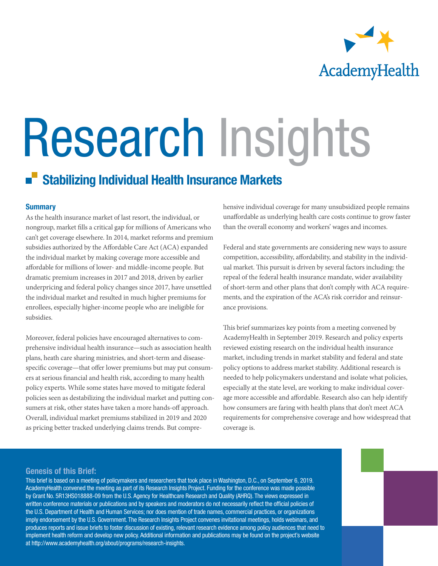

# Research Insights

# Stabilizing Individual Health Insurance Markets

#### **Summary**

As the health insurance market of last resort, the individual, or nongroup, market fills a critical gap for millions of Americans who can't get coverage elsewhere. In 2014, market reforms and premium subsidies authorized by the Affordable Care Act (ACA) expanded the individual market by making coverage more accessible and affordable for millions of lower- and middle-income people. But dramatic premium increases in 2017 and 2018, driven by earlier underpricing and federal policy changes since 2017, have unsettled the individual market and resulted in much higher premiums for enrollees, especially higher-income people who are ineligible for subsidies.

Moreover, federal policies have encouraged alternatives to comprehensive individual health insurance—such as association health plans, heath care sharing ministries, and short-term and diseasespecific coverage—that offer lower premiums but may put consumers at serious financial and health risk, according to many health policy experts. While some states have moved to mitigate federal policies seen as destabilizing the individual market and putting consumers at risk, other states have taken a more hands-off approach. Overall, individual market premiums stabilized in 2019 and 2020 as pricing better tracked underlying claims trends. But comprehensive individual coverage for many unsubsidized people remains unaffordable as underlying health care costs continue to grow faster than the overall economy and workers' wages and incomes.

Federal and state governments are considering new ways to assure competition, accessibility, affordability, and stability in the individual market. This pursuit is driven by several factors including: the repeal of the federal health insurance mandate, wider availability of short-term and other plans that don't comply with ACA requirements, and the expiration of the ACA's risk corridor and reinsurance provisions.

This brief summarizes key points from a meeting convened by AcademyHealth in September 2019. Research and policy experts reviewed existing research on the individual health insurance market, including trends in market stability and federal and state policy options to address market stability. Additional research is needed to help policymakers understand and isolate what policies, especially at the state level, are working to make individual coverage more accessible and affordable. Research also can help identify how consumers are faring with health plans that don't meet ACA requirements for comprehensive coverage and how widespread that coverage is.

#### Genesis of this Brief:

This brief is based on a meeting of policymakers and researchers that took place in Washington, D.C., on September 6, 2019. AcademyHealth convened the meeting as part of its Research Insights Project. Funding for the conference was made possible by Grant No. 5R13HS018888-09 from the U.S. Agency for Healthcare Research and Quality (AHRQ). The views expressed in written conference materials or publications and by speakers and moderators do not necessarily reflect the official policies of the U.S. Department of Health and Human Services; nor does mention of trade names, commercial practices, or organizations imply endorsement by the U.S. Government. The Research Insights Project convenes invitational meetings, holds webinars, and produces reports and issue briefs to foster discussion of existing, relevant research evidence among policy audiences that need to implement health reform and develop new policy. Additional information and publications may be found on the project's website at http://www.academyhealth.org/about/programs/research-insights.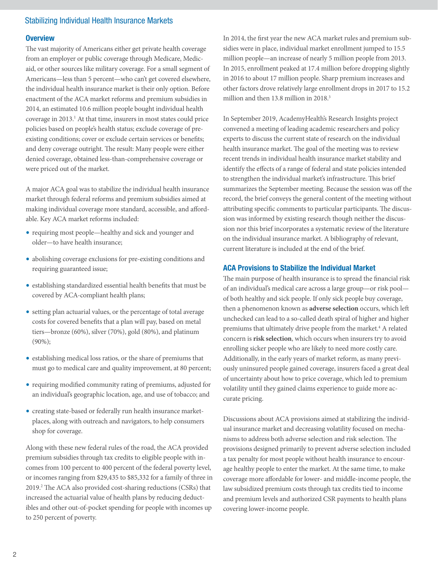#### **Overview**

The vast majority of Americans either get private health coverage from an employer or public coverage through Medicare, Medicaid, or other sources like military coverage. For a small segment of Americans—less than 5 percent—who can't get covered elsewhere, the individual health insurance market is their only option. Before enactment of the ACA market reforms and premium subsidies in 2014, an estimated 10.6 million people bought individual health coverage in 2013.<sup>1</sup> At that time, insurers in most states could price policies based on people's health status; exclude coverage of preexisting conditions; cover or exclude certain services or benefits; and deny coverage outright. The result: Many people were either denied coverage, obtained less-than-comprehensive coverage or were priced out of the market.

A major ACA goal was to stabilize the individual health insurance market through federal reforms and premium subsidies aimed at making individual coverage more standard, accessible, and affordable. Key ACA market reforms included:

- requiring most people—healthy and sick and younger and older—to have health insurance;
- abolishing coverage exclusions for pre-existing conditions and requiring guaranteed issue;
- establishing standardized essential health benefits that must be covered by ACA-compliant health plans;
- setting plan actuarial values, or the percentage of total average costs for covered benefits that a plan will pay, based on metal tiers—bronze (60%), silver (70%), gold (80%), and platinum (90%);
- establishing medical loss ratios, or the share of premiums that must go to medical care and quality improvement, at 80 percent;
- requiring modified community rating of premiums, adjusted for an individual's geographic location, age, and use of tobacco; and
- creating state-based or federally run health insurance marketplaces, along with outreach and navigators, to help consumers shop for coverage.

Along with these new federal rules of the road, the ACA provided premium subsidies through tax credits to eligible people with incomes from 100 percent to 400 percent of the federal poverty level, or incomes ranging from \$29,435 to \$85,332 for a family of three in 2019.2 The ACA also provided cost-sharing reductions (CSRs) that increased the actuarial value of health plans by reducing deductibles and other out-of-pocket spending for people with incomes up to 250 percent of poverty.

In 2014, the first year the new ACA market rules and premium subsidies were in place, individual market enrollment jumped to 15.5 million people—an increase of nearly 5 million people from 2013. In 2015, enrollment peaked at 17.4 million before dropping slightly in 2016 to about 17 million people. Sharp premium increases and other factors drove relatively large enrollment drops in 2017 to 15.2 million and then 13.8 million in 2018.<sup>3</sup>

In September 2019, AcademyHealth's Research Insights project convened a meeting of leading academic researchers and policy experts to discuss the current state of research on the individual health insurance market. The goal of the meeting was to review recent trends in individual health insurance market stability and identify the effects of a range of federal and state policies intended to strengthen the individual market's infrastructure. This brief summarizes the September meeting. Because the session was off the record, the brief conveys the general content of the meeting without attributing specific comments to particular participants. The discussion was informed by existing research though neither the discussion nor this brief incorporates a systematic review of the literature on the individual insurance market. A bibliography of relevant, current literature is included at the end of the brief.

#### ACA Provisions to Stabilize the Individual Market

The main purpose of health insurance is to spread the financial risk of an individual's medical care across a large group—or risk pool of both healthy and sick people. If only sick people buy coverage, then a phenomenon known as **adverse selection** occurs, which left unchecked can lead to a so-called death spiral of higher and higher premiums that ultimately drive people from the market.<sup>4</sup> A related concern is **risk selection**, which occurs when insurers try to avoid enrolling sicker people who are likely to need more costly care. Additionally, in the early years of market reform, as many previously uninsured people gained coverage, insurers faced a great deal of uncertainty about how to price coverage, which led to premium volatility until they gained claims experience to guide more accurate pricing.

Discussions about ACA provisions aimed at stabilizing the individual insurance market and decreasing volatility focused on mechanisms to address both adverse selection and risk selection. The provisions designed primarily to prevent adverse selection included a tax penalty for most people without health insurance to encourage healthy people to enter the market. At the same time, to make coverage more affordable for lower- and middle-income people, the law subsidized premium costs through tax credits tied to income and premium levels and authorized CSR payments to health plans covering lower-income people.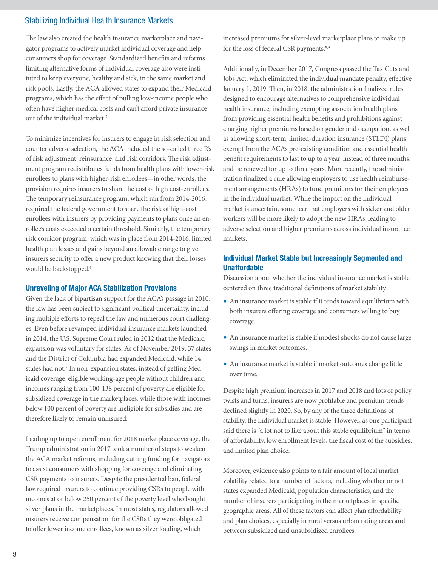The law also created the health insurance marketplace and navigator programs to actively market individual coverage and help consumers shop for coverage. Standardized benefits and reforms limiting alternative forms of individual coverage also were instituted to keep everyone, healthy and sick, in the same market and risk pools. Lastly, the ACA allowed states to expand their Medicaid programs, which has the effect of pulling low-income people who often have higher medical costs and can't afford private insurance out of the individual market.<sup>5</sup>

To minimize incentives for insurers to engage in risk selection and counter adverse selection, the ACA included the so-called three R's of risk adjustment, reinsurance, and risk corridors. The risk adjustment program redistributes funds from health plans with lower-risk enrollees to plans with higher-risk enrollees—in other words, the provision requires insurers to share the cost of high cost-enrollees. The temporary reinsurance program, which ran from 2014-2016, required the federal government to share the risk of high-cost enrollees with insurers by providing payments to plans once an enrollee's costs exceeded a certain threshold. Similarly, the temporary risk corridor program, which was in place from 2014-2016, limited health plan losses and gains beyond an allowable range to give insurers security to offer a new product knowing that their losses would be backstopped.<sup>6</sup>

#### Unraveling of Major ACA Stabilization Provisions

Given the lack of bipartisan support for the ACA's passage in 2010, the law has been subject to significant political uncertainty, including multiple efforts to repeal the law and numerous court challenges. Even before revamped individual insurance markets launched in 2014, the U.S. Supreme Court ruled in 2012 that the Medicaid expansion was voluntary for states. As of November 2019, 37 states and the District of Columbia had expanded Medicaid, while 14 states had not.<sup>7</sup> In non-expansion states, instead of getting Medicaid coverage, eligible working-age people without children and incomes ranging from 100-138 percent of poverty are eligible for subsidized coverage in the marketplaces, while those with incomes below 100 percent of poverty are ineligible for subsidies and are therefore likely to remain uninsured.

Leading up to open enrollment for 2018 marketplace coverage, the Trump administration in 2017 took a number of steps to weaken the ACA market reforms, including cutting funding for navigators to assist consumers with shopping for coverage and eliminating CSR payments to insurers. Despite the presidential ban, federal law required insurers to continue providing CSRs to people with incomes at or below 250 percent of the poverty level who bought silver plans in the marketplaces. In most states, regulators allowed insurers receive compensation for the CSRs they were obligated to offer lower income enrollees, known as silver loading, which

increased premiums for silver-level marketplace plans to make up for the loss of federal CSR payments.<sup>8,9</sup>

Additionally, in December 2017, Congress passed the Tax Cuts and Jobs Act, which eliminated the individual mandate penalty, effective January 1, 2019. Then, in 2018, the administration finalized rules designed to encourage alternatives to comprehensive individual health insurance, including exempting association health plans from providing essential health benefits and prohibitions against charging higher premiums based on gender and occupation, as well as allowing short-term, limited-duration insurance (STLDI) plans exempt from the ACA's pre-existing condition and essential health benefit requirements to last to up to a year, instead of three months, and be renewed for up to three years. More recently, the administration finalized a rule allowing employers to use health reimbursement arrangements (HRAs) to fund premiums for their employees in the individual market. While the impact on the individual market is uncertain, some fear that employers with sicker and older workers will be more likely to adopt the new HRAs, leading to adverse selection and higher premiums across individual insurance markets.

#### Individual Market Stable but Increasingly Segmented and Unaffordable

Discussion about whether the individual insurance market is stable centered on three traditional definitions of market stability:

- An insurance market is stable if it tends toward equilibrium with both insurers offering coverage and consumers willing to buy coverage.
- An insurance market is stable if modest shocks do not cause large swings in market outcomes.
- An insurance market is stable if market outcomes change little over time.

Despite high premium increases in 2017 and 2018 and lots of policy twists and turns, insurers are now profitable and premium trends declined slightly in 2020. So, by any of the three definitions of stability, the individual market is stable. However, as one participant said there is "a lot not to like about this stable equilibrium" in terms of affordability, low enrollment levels, the fiscal cost of the subsidies, and limited plan choice.

Moreover, evidence also points to a fair amount of local market volatility related to a number of factors, including whether or not states expanded Medicaid, population characteristics, and the number of insurers participating in the marketplaces in specific geographic areas. All of these factors can affect plan affordability and plan choices, especially in rural versus urban rating areas and between subsidized and unsubsidized enrollees.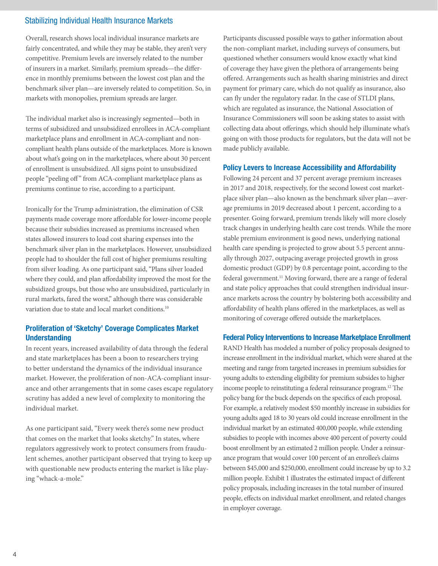Overall, research shows local individual insurance markets are fairly concentrated, and while they may be stable, they aren't very competitive. Premium levels are inversely related to the number of insurers in a market. Similarly, premium spreads—the difference in monthly premiums between the lowest cost plan and the benchmark silver plan—are inversely related to competition. So, in markets with monopolies, premium spreads are larger.

The individual market also is increasingly segmented—both in terms of subsidized and unsubsidized enrollees in ACA-compliant marketplace plans and enrollment in ACA-compliant and noncompliant health plans outside of the marketplaces. More is known about what's going on in the marketplaces, where about 30 percent of enrollment is unsubsidized. All signs point to unsubsidized people "peeling off" from ACA-compliant marketplace plans as premiums continue to rise, according to a participant.

Ironically for the Trump administration, the elimination of CSR payments made coverage more affordable for lower-income people because their subsidies increased as premiums increased when states allowed insurers to load cost sharing expenses into the benchmark silver plan in the marketplaces. However, unsubsidized people had to shoulder the full cost of higher premiums resulting from silver loading. As one participant said, "Plans silver loaded where they could, and plan affordability improved the most for the subsidized groups, but those who are unsubsidized, particularly in rural markets, fared the worst," although there was considerable variation due to state and local market conditions.<sup>10</sup>

# Proliferation of 'Sketchy' Coverage Complicates Market **Understanding**

In recent years, increased availability of data through the federal and state marketplaces has been a boon to researchers trying to better understand the dynamics of the individual insurance market. However, the proliferation of non-ACA-compliant insurance and other arrangements that in some cases escape regulatory scrutiny has added a new level of complexity to monitoring the individual market.

As one participant said, "Every week there's some new product that comes on the market that looks sketchy." In states, where regulators aggressively work to protect consumers from fraudulent schemes, another participant observed that trying to keep up with questionable new products entering the market is like playing "whack-a-mole."

Participants discussed possible ways to gather information about the non-compliant market, including surveys of consumers, but questioned whether consumers would know exactly what kind of coverage they have given the plethora of arrangements being offered. Arrangements such as health sharing ministries and direct payment for primary care, which do not qualify as insurance, also can fly under the regulatory radar. In the case of STLDI plans, which are regulated as insurance, the National Association of Insurance Commissioners will soon be asking states to assist with collecting data about offerings, which should help illuminate what's going on with those products for regulators, but the data will not be made publicly available.

#### Policy Levers to Increase Accessibility and Affordability

Following 24 percent and 37 percent average premium increases in 2017 and 2018, respectively, for the second lowest cost marketplace silver plan—also known as the benchmark silver plan—average premiums in 2019 decreased about 1 percent, according to a presenter. Going forward, premium trends likely will more closely track changes in underlying health care cost trends. While the more stable premium environment is good news, underlying national health care spending is projected to grow about 5.5 percent annually through 2027, outpacing average projected growth in gross domestic product (GDP) by 0.8 percentage point, according to the federal government.<sup>11</sup> Moving forward, there are a range of federal and state policy approaches that could strengthen individual insurance markets across the country by bolstering both accessibility and affordability of health plans offered in the marketplaces, as well as monitoring of coverage offered outside the marketplaces.

#### Federal Policy Interventions to Increase Marketplace Enrollment

RAND Health has modeled a number of policy proposals designed to increase enrollment in the individual market, which were shared at the meeting and range from targeted increases in premium subsidies for young adults to extending eligibility for premium subsides to higher income people to reinstituting a federal reinsurance program.12 The policy bang for the buck depends on the specifics of each proposal. For example, a relatively modest \$50 monthly increase in subsidies for young adults aged 18 to 30 years old could increase enrollment in the individual market by an estimated 400,000 people, while extending subsidies to people with incomes above 400 percent of poverty could boost enrollment by an estimated 2 million people. Under a reinsurance program that would cover 100 percent of an enrollee's claims between \$45,000 and \$250,000, enrollment could increase by up to 3.2 million people. Exhibit 1 illustrates the estimated impact of different policy proposals, including increases in the total number of insured people, effects on individual market enrollment, and related changes in employer coverage.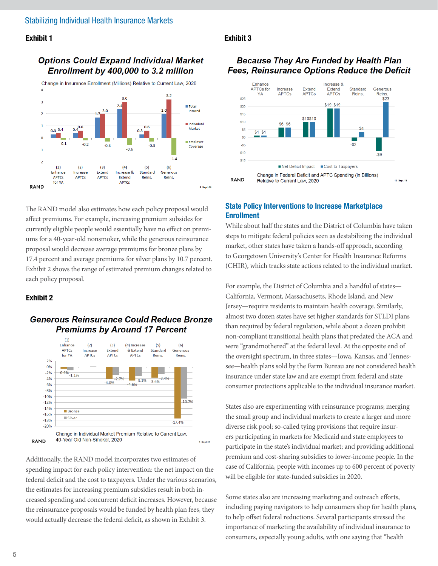#### Exhibit 1

# **Options Could Expand Individual Market** Enrollment by 400,000 to 3.2 million



# The RAND model also estimates how each policy proposal would affect premiums. For example, increasing premium subsides for currently eligible people would essentially have no effect on premiums for a 40-year-old nonsmoker, while the generous reinsurance proposal would decrease average premiums for bronze plans by 17.4 percent and average premiums for silver plans by 10.7 percent. Exhibit 2 shows the range of estimated premium changes related to each policy proposal.

#### Exhibit 2

# **Generous Reinsurance Could Reduce Bronze Premiums by Around 17 Percent**



Additionally, the RAND model incorporates two estimates of spending impact for each policy intervention: the net impact on the federal deficit and the cost to taxpayers. Under the various scenarios, the estimates for increasing premium subsidies result in both increased spending and concurrent deficit increases. However, because the reinsurance proposals would be funded by health plan fees, they would actually decrease the federal deficit, as shown in Exhibit 3.

#### Exhibit 3

# **Because They Are Funded by Health Plan Fees, Reinsurance Options Reduce the Deficit**



# State Policy Interventions to Increase Marketplace Enrollment

While about half the states and the District of Columbia have taken steps to mitigate federal policies seen as destabilizing the individual market, other states have taken a hands-off approach, according to Georgetown University's Center for Health Insurance Reforms (CHIR), which tracks state actions related to the individual market.

For example, the District of Columbia and a handful of states— California, Vermont, Massachusetts, Rhode Island, and New Jersey—require residents to maintain health coverage. Similarly, almost two dozen states have set higher standards for STLDI plans than required by federal regulation, while about a dozen prohibit non-compliant transitional health plans that predated the ACA and were "grandmothered" at the federal level. At the opposite end of the oversight spectrum, in three states—Iowa, Kansas, and Tennessee—health plans sold by the Farm Bureau are not considered health insurance under state law and are exempt from federal and state consumer protections applicable to the individual insurance market.

States also are experimenting with reinsurance programs; merging the small group and individual markets to create a larger and more diverse risk pool; so-called tying provisions that require insurers participating in markets for Medicaid and state employees to participate in the state's individual market; and providing additional premium and cost-sharing subsidies to lower-income people. In the case of California, people with incomes up to 600 percent of poverty will be eligible for state-funded subsidies in 2020.

Some states also are increasing marketing and outreach efforts, including paying navigators to help consumers shop for health plans, to help offset federal reductions. Several participants stressed the importance of marketing the availability of individual insurance to consumers, especially young adults, with one saying that "health